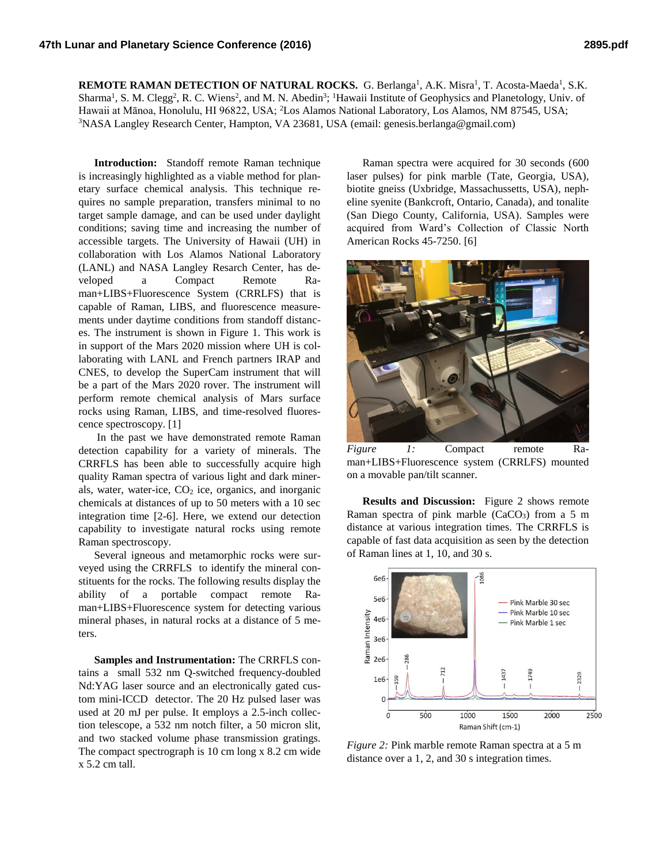**REMOTE RAMAN DETECTION OF NATURAL ROCKS.** G. Berlanga<sup>1</sup>, A.K. Misra<sup>1</sup>, T. Acosta-Maeda<sup>1</sup>, S.K. Sharma<sup>1</sup>, S. M. Clegg<sup>2</sup>, R. C. Wiens<sup>2</sup>, and M. N. Abedin<sup>3</sup>; <sup>1</sup>Hawaii Institute of Geophysics and Planetology, Univ. of Hawaii at Mānoa, Honolulu, HI 96822, USA; <sup>2</sup>Los Alamos National Laboratory, Los Alamos, NM 87545, USA; <sup>3</sup>NASA Langley Research Center, Hampton, VA 23681, USA (email: genesis.berlanga@gmail.com)

**Introduction:** Standoff remote Raman technique is increasingly highlighted as a viable method for planetary surface chemical analysis. This technique requires no sample preparation, transfers minimal to no target sample damage, and can be used under daylight conditions; saving time and increasing the number of accessible targets. The University of Hawaii (UH) in collaboration with Los Alamos National Laboratory (LANL) and NASA Langley Resarch Center, has developed a Compact Remote Raman+LIBS+Fluorescence System (CRRLFS) that is capable of Raman, LIBS, and fluorescence measurements under daytime conditions from standoff distances. The instrument is shown in Figure 1. This work is in support of the Mars 2020 mission where UH is collaborating with LANL and French partners IRAP and CNES, to develop the SuperCam instrument that will be a part of the Mars 2020 rover. The instrument will perform remote chemical analysis of Mars surface rocks using Raman, LIBS, and time-resolved fluorescence spectroscopy. [1]

In the past we have demonstrated remote Raman detection capability for a variety of minerals. The CRRFLS has been able to successfully acquire high quality Raman spectra of various light and dark minerals, water, water-ice,  $CO<sub>2</sub>$  ice, organics, and inorganic chemicals at distances of up to 50 meters with a 10 sec integration time [2-6]. Here, we extend our detection capability to investigate natural rocks using remote Raman spectroscopy.

Several igneous and metamorphic rocks were surveyed using the CRRFLS to identify the mineral constituents for the rocks. The following results display the ability of a portable compact remote Raman+LIBS+Fluorescence system for detecting various mineral phases, in natural rocks at a distance of 5 meters.

**Samples and Instrumentation:** The CRRFLS contains a small 532 nm Q-switched frequency-doubled Nd:YAG laser source and an electronically gated custom mini-ICCD detector. The 20 Hz pulsed laser was used at 20 mJ per pulse. It employs a 2.5-inch collection telescope, a 532 nm notch filter, a 50 micron slit, and two stacked volume phase transmission gratings. The compact spectrograph is 10 cm long x 8.2 cm wide x 5.2 cm tall.

Raman spectra were acquired for 30 seconds (600 laser pulses) for pink marble (Tate, Georgia, USA), biotite gneiss (Uxbridge, Massachussetts, USA), nepheline syenite (Bankcroft, Ontario, Canada), and tonalite (San Diego County, California, USA). Samples were acquired from Ward's Collection of Classic North American Rocks 45-7250. [6]



*Figure 1:* Compact remote Raman+LIBS+Fluorescence system (CRRLFS) mounted on a movable pan/tilt scanner.

**Results and Discussion:** Figure 2 shows remote Raman spectra of pink marble  $(CaCO<sub>3</sub>)$  from a 5 m distance at various integration times. The CRRFLS is capable of fast data acquisition as seen by the detection of Raman lines at 1, 10, and 30 s.



*Figure 2:* Pink marble remote Raman spectra at a 5 m distance over a 1, 2, and 30 s integration times.